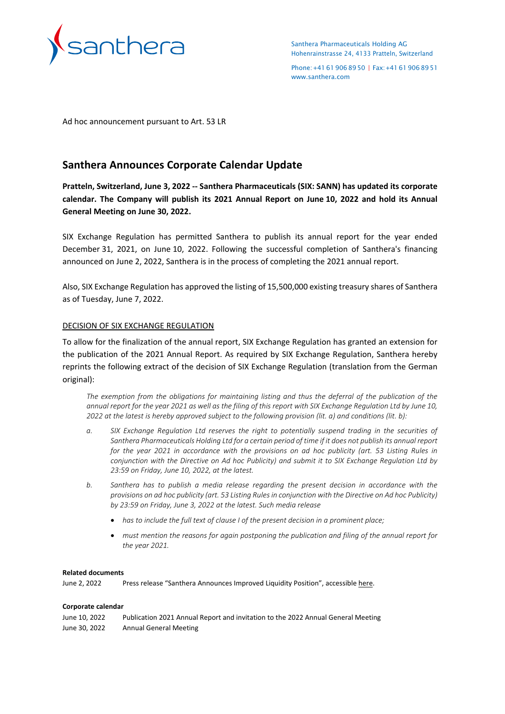

Santhera Pharmaceuticals Holding AG Hohenrainstrasse 24, 4133 Pratteln, Switzerland

Phone:+41619068950 | Fax:+41619068951 [www.santhera.com](http://www.santhera.com/)

Ad hoc announcement pursuant to Art. 53 LR

# **Santhera Announces Corporate Calendar Update**

**Pratteln, Switzerland, June 3, 2022 -- Santhera Pharmaceuticals (SIX: SANN) has updated its corporate calendar. The Company will publish its 2021 Annual Report on June 10, 2022 and hold its Annual General Meeting on June 30, 2022.**

SIX Exchange Regulation has permitted Santhera to publish its annual report for the year ended December 31, 2021, on June 10, 2022. Following the successful completion of Santhera's financing announced on June 2, 2022, Santhera is in the process of completing the 2021 annual report.

Also, SIX Exchange Regulation has approved the listing of 15,500,000 existing treasury shares of Santhera as of Tuesday, June 7, 2022.

## DECISION OF SIX EXCHANGE REGULATION

To allow for the finalization of the annual report, SIX Exchange Regulation has granted an extension for the publication of the 2021 Annual Report. As required by SIX Exchange Regulation, Santhera hereby reprints the following extract of the decision of SIX Exchange Regulation (translation from the German original):

*The exemption from the obligations for maintaining listing and thus the deferral of the publication of the annual report for the year 2021 as well as the filing of this report with SIX Exchange Regulation Ltd by June 10, 2022 at the latest is hereby approved subject to the following provision (lit. a) and conditions (lit. b):*

- *a. SIX Exchange Regulation Ltd reserves the right to potentially suspend trading in the securities of Santhera Pharmaceuticals Holding Ltd for a certain period of time if it does not publish its annual report for the year 2021 in accordance with the provisions on ad hoc publicity (art. 53 Listing Rules in conjunction with the Directive on Ad hoc Publicity) and submit it to SIX Exchange Regulation Ltd by 23:59 on Friday, June 10, 2022, at the latest.*
- *b. Santhera has to publish a media release regarding the present decision in accordance with the provisions on ad hoc publicity (art. 53 Listing Rules in conjunction with the Directive on Ad hoc Publicity) by 23:59 on Friday, June 3, 2022 at the latest. Such media release*
	- *has to include the full text of clause I of the present decision in a prominent place;*
	- *must mention the reasons for again postponing the publication and filing of the annual report for the year 2021.*

#### **Related documents**

June 2, 2022 Press release "Santhera Announces Improved Liquidity Position", accessible [here.](https://www.santhera.com/assets/files/press-releases/2022-06-02_Financing_e_finalx.pdf) 

#### **Corporate calendar**

| June 10, 2022 | Publication 2021 Annual Report and invitation to the 2022 Annual General Meeting |
|---------------|----------------------------------------------------------------------------------|
| June 30, 2022 | <b>Annual General Meeting</b>                                                    |